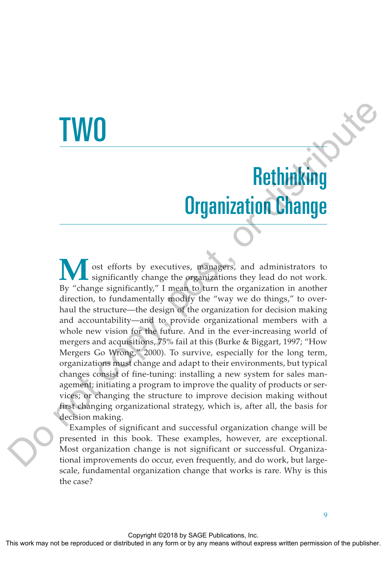# TWO

## **Rethinking** Organization Change

ost efforts by executives, managers, and administrators to significantly change the organizations they lead do not work. By "change significantly," I mean to turn the organization in another direction, to fundamentally modify the "way we do things," to overhaul the structure—the design of the organization for decision making and accountability—and to provide organizational members with a whole new vision for the future. And in the ever-increasing world of mergers and acquisitions, 75% fail at this (Burke & Biggart, 1997; "How Mergers Go Wrong," 2000). To survive, especially for the long term, organizations must change and adapt to their environments, but typical changes consist of fine-tuning: installing a new system for sales management; initiating a program to improve the quality of products or services; or changing the structure to improve decision making without first changing organizational strategy, which is, after all, the basis for decision making. **THO**<br> **Complete Conservation Complete Conservation Complete Conservation Conservation Conservation Expression Conservation Conservation Conservation Conservation Conservation Conservation Co** 

Examples of significant and successful organization change will be presented in this book. These examples, however, are exceptional. Most organization change is not significant or successful. Organizational improvements do occur, even frequently, and do work, but largescale, fundamental organization change that works is rare. Why is this the case?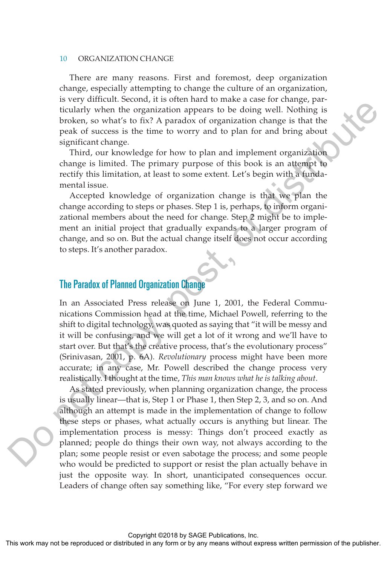There are many reasons. First and foremost, deep organization change, especially attempting to change the culture of an organization, is very difficult. Second, it is often hard to make a case for change, particularly when the organization appears to be doing well. Nothing is broken, so what's to fix? A paradox of organization change is that the peak of success is the time to worry and to plan for and bring about significant change.

Third, our knowledge for how to plan and implement organization change is limited. The primary purpose of this book is an attempt to rectify this limitation, at least to some extent. Let's begin with a fundamental issue.

Accepted knowledge of organization change is that we plan the change according to steps or phases. Step 1 is, perhaps, to inform organizational members about the need for change. Step 2 might be to implement an initial project that gradually expands to a larger program of change, and so on. But the actual change itself does not occur according to steps. It's another paradox.

## The Paradox of Planned Organization Change

In an Associated Press release on June 1, 2001, the Federal Communications Commission head at the time, Michael Powell, referring to the shift to digital technology, was quoted as saying that "it will be messy and it will be confusing, and we will get a lot of it wrong and we'll have to start over. But that's the creative process, that's the evolutionary process" (Srinivasan, 2001, p. 6A). *Revolutionary* process might have been more accurate; in any case, Mr. Powell described the change process very realistically. I thought at the time, *This man knows what he is talking about*.

As stated previously, when planning organization change, the process is usually linear—that is, Step 1 or Phase 1, then Step 2, 3, and so on. And although an attempt is made in the implementation of change to follow these steps or phases, what actually occurs is anything but linear. The implementation process is messy: Things don't proceed exactly as planned; people do things their own way, not always according to the plan; some people resist or even sabotage the process; and some people who would be predicted to support or resist the plan actually behave in just the opposite way. In short, unanticipated consequences occur. Leaders of change often say something like, "For every step forward we The means with the two states of the contour or the color or the color of the reproduced or the reproduced or the reproduced or the publisher. So what is a first denote of this book is an antempt is the reproduced in the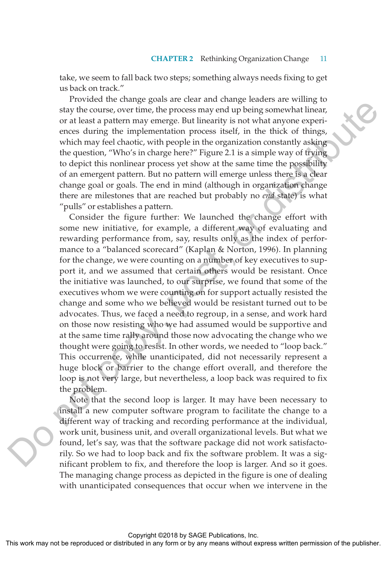take, we seem to fall back two steps; something always needs fixing to get us back on track."

Provided the change goals are clear and change leaders are willing to stay the course, over time, the process may end up being somewhat linear, or at least a pattern may emerge. But linearity is not what anyone experiences during the implementation process itself, in the thick of things, which may feel chaotic, with people in the organization constantly asking the question, "Who's in charge here?" Figure 2.1 is a simple way of trying to depict this nonlinear process yet show at the same time the possibility of an emergent pattern. But no pattern will emerge unless there is a clear change goal or goals. The end in mind (although in organization change there are milestones that are reached but probably no *end* state) is what "pulls" or establishes a pattern.

Consider the figure further: We launched the change effort with some new initiative, for example, a different way of evaluating and rewarding performance from, say, results only as the index of performance to a "balanced scorecard" (Kaplan & Norton, 1996). In planning for the change, we were counting on a number of key executives to support it, and we assumed that certain others would be resistant. Once the initiative was launched, to our surprise, we found that some of the executives whom we were counting on for support actually resisted the change and some who we believed would be resistant turned out to be advocates. Thus, we faced a need to regroup, in a sense, and work hard on those now resisting who we had assumed would be supportive and at the same time rally around those now advocating the change who we thought were going to resist. In other words, we needed to "loop back." This occurrence, while unanticipated, did not necessarily represent a huge block or barrier to the change effort overall, and therefore the loop is not very large, but nevertheless, a loop back was required to fix the problem. sty the consume over through consume and up being some as a smooth different or distributed in any form or distributed in any means which the publisher or the state of the publisher. This can be represented in a smooth co

Note that the second loop is larger. It may have been necessary to install a new computer software program to facilitate the change to a different way of tracking and recording performance at the individual, work unit, business unit, and overall organizational levels. But what we found, let's say, was that the software package did not work satisfactorily. So we had to loop back and fix the software problem. It was a significant problem to fix, and therefore the loop is larger. And so it goes. The managing change process as depicted in the figure is one of dealing with unanticipated consequences that occur when we intervene in the

Copyright ©2018 by SAGE Publications, Inc.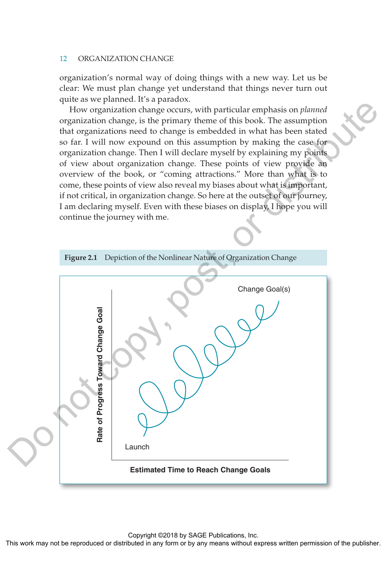organization's normal way of doing things with a new way. Let us be clear: We must plan change yet understand that things never turn out quite as we planned. It's a paradox.

How organization change occurs, with particular emphasis on *planned*  organization change, is the primary theme of this book. The assumption that organizations need to change is embedded in what has been stated so far. I will now expound on this assumption by making the case for organization change. Then I will declare myself by explaining my points of view about organization change. These points of view provide an overview of the book, or "coming attractions." More than what is to come, these points of view also reveal my biases about what is important, if not critical, in organization change. So here at the outset of our journey, I am declaring myself. Even with these biases on display, I hope you will continue the journey with me.



**Figure 2.1** Depiction of the Nonlinear Nature of Organization Change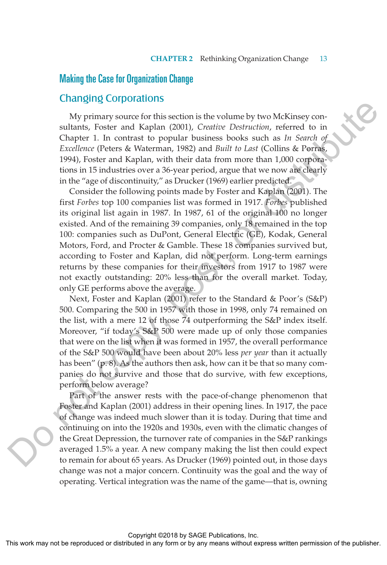#### Making the Case for Organization Change

#### Changing Corporations

My primary source for this section is the volume by two McKinsey consultants, Foster and Kaplan (2001), *Creative Destruction*, referred to in Chapter 1. In contrast to popular business books such as *In Search of Excellence* (Peters & Waterman, 1982) and *Built to Last* (Collins & Porras, 1994), Foster and Kaplan, with their data from more than 1,000 corporations in 15 industries over a 36-year period, argue that we now are clearly in the "age of discontinuity," as Drucker (1969) earlier predicted.

Consider the following points made by Foster and Kaplan (2001). The first *Forbes* top 100 companies list was formed in 1917. *Forbes* published its original list again in 1987. In 1987, 61 of the original 100 no longer existed. And of the remaining 39 companies, only 18 remained in the top 100: companies such as DuPont, General Electric (GE), Kodak, General Motors, Ford, and Procter & Gamble. These 18 companies survived but, according to Foster and Kaplan, did not perform. Long-term earnings returns by these companies for their investors from 1917 to 1987 were not exactly outstanding: 20% less than for the overall market. Today, only GE performs above the average. May reproduced or distributed or distributed or distributed or distributed in any form or distributed or distributed in any form or distributed in any form or distributed in any form of Excellence (Peters & Westerman, 199

Next, Foster and Kaplan (2001) refer to the Standard & Poor's (S&P) 500. Comparing the 500 in 1957 with those in 1998, only 74 remained on the list, with a mere 12 of those 74 outperforming the S&P index itself. Moreover, "if today's S&P 500 were made up of only those companies that were on the list when it was formed in 1957, the overall performance of the S&P 500 would have been about 20% less *per year* than it actually has been" (p. 8). As the authors then ask, how can it be that so many companies do not survive and those that do survive, with few exceptions, perform below average?

Part of the answer rests with the pace-of-change phenomenon that Foster and Kaplan (2001) address in their opening lines. In 1917, the pace of change was indeed much slower than it is today. During that time and continuing on into the 1920s and 1930s, even with the climatic changes of the Great Depression, the turnover rate of companies in the S&P rankings averaged 1.5% a year. A new company making the list then could expect to remain for about 65 years. As Drucker (1969) pointed out, in those days change was not a major concern. Continuity was the goal and the way of operating. Vertical integration was the name of the game—that is, owning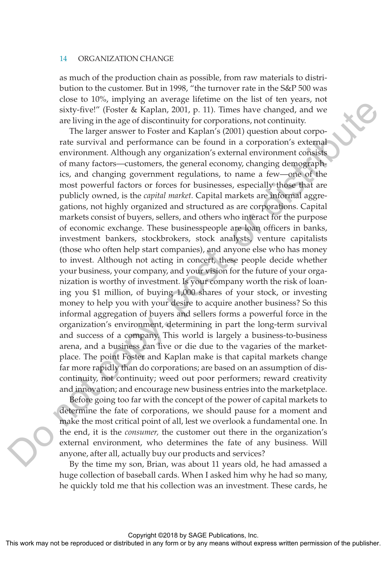as much of the production chain as possible, from raw materials to distribution to the customer. But in 1998, "the turnover rate in the S&P 500 was close to 10%, implying an average lifetime on the list of ten years, not sixty-five!" (Foster & Kaplan, 2001, p. 11). Times have changed, and we are living in the age of discontinuity for corporations, not continuity.

The larger answer to Foster and Kaplan's (2001) question about corporate survival and performance can be found in a corporation's external environment. Although any organization's external environment consists of many factors—customers, the general economy, changing demographics, and changing government regulations, to name a few—one of the most powerful factors or forces for businesses, especially those that are publicly owned, is the *capital market.* Capital markets are informal aggregations, not highly organized and structured as are corporations. Capital markets consist of buyers, sellers, and others who interact for the purpose of economic exchange. These businesspeople are loan officers in banks, investment bankers, stockbrokers, stock analysts, venture capitalists (those who often help start companies), and anyone else who has money to invest. Although not acting in concert, these people decide whether your business, your company, and your vision for the future of your organization is worthy of investment. Is your company worth the risk of loaning you \$1 million, of buying 1,000 shares of your stock, or investing money to help you with your desire to acquire another business? So this informal aggregation of buyers and sellers forms a powerful force in the organization's environment, determining in part the long-term survival and success of a company. This world is largely a business-to-business arena, and a business can live or die due to the vagaries of the marketplace. The point Foster and Kaplan make is that capital markets change far more rapidly than do corporations; are based on an assumption of discontinuity, not continuity; weed out poor performers; reward creativity and innovation; and encourage new business entries into the marketplace. Express the reproduced or distributed or distributed or distributed or distributed in any form or between the between the reproduced or distributed in any means with the publisher above the publisher above the publisher ab

Before going too far with the concept of the power of capital markets to determine the fate of corporations, we should pause for a moment and make the most critical point of all, lest we overlook a fundamental one. In the end, it is the *consumer,* the customer out there in the organization's external environment, who determines the fate of any business. Will anyone, after all, actually buy our products and services?

By the time my son, Brian, was about 11 years old, he had amassed a huge collection of baseball cards. When I asked him why he had so many, he quickly told me that his collection was an investment. These cards, he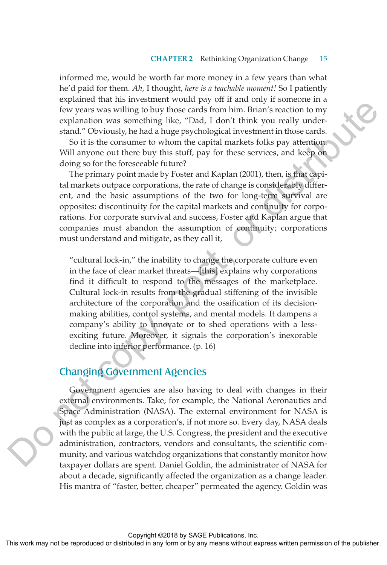informed me, would be worth far more money in a few years than what he'd paid for them. *Ah,* I thought, *here is a teachable moment!* So I patiently explained that his investment would pay off if and only if someone in a few years was willing to buy those cards from him. Brian's reaction to my explanation was something like, "Dad, I don't think you really understand." Obviously, he had a huge psychological investment in those cards.

So it is the consumer to whom the capital markets folks pay attention. Will anyone out there buy this stuff, pay for these services, and keep on doing so for the foreseeable future?

The primary point made by Foster and Kaplan (2001), then, is that capital markets outpace corporations, the rate of change is considerably different, and the basic assumptions of the two for long-term survival are opposites: discontinuity for the capital markets and continuity for corporations. For corporate survival and success, Foster and Kaplan argue that companies must abandon the assumption of continuity; corporations must understand and mitigate, as they call it,

"cultural lock-in," the inability to change the corporate culture even in the face of clear market threats—[this] explains why corporations find it difficult to respond to the messages of the marketplace. Cultural lock-in results from the gradual stiffening of the invisible architecture of the corporation and the ossification of its decisionmaking abilities, control systems, and mental models. It dampens a company's ability to innovate or to shed operations with a lessexciting future. Moreover, it signals the corporation's inexorable decline into inferior performance. (p. 16)

## Changing Government Agencies

Government agencies are also having to deal with changes in their external environments. Take, for example, the National Aeronautics and Space Administration (NASA). The external environment for NASA is just as complex as a corporation's, if not more so. Every day, NASA deals with the public at large, the U.S. Congress, the president and the executive administration, contractors, vendors and consultants, the scientific community, and various watchdog organizations that constantly monitor how taxpayer dollars are spent. Daniel Goldin, the administrator of NASA for about a decade, significantly affected the organization as a change leader. His mantra of "faster, better, cheaper" permeated the agency. Goldin was Consumer the results of the reproduced or the reproduced or the reproduced in a finite control or distributed in a stributed in a finite control or the small of Dobuslay, be had the figure permission of the publisher pay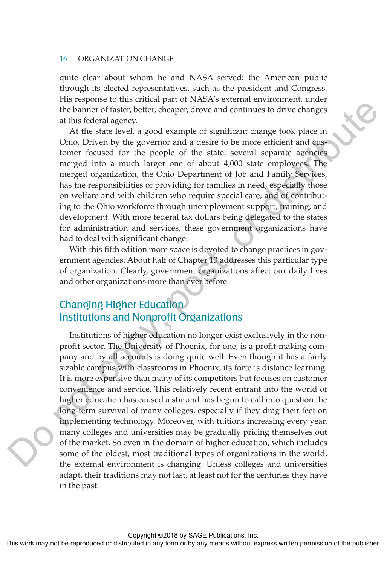quite clear about whom he and NASA served: the American public through its elected representatives, such as the president and Congress. His response to this critical part of NASA's external environment, under the banner of faster, better, cheaper, drove and continues to drive changes at this federal agency.

At the state level, a good example of significant change took place in Ohio. Driven by the governor and a desire to be more efficient and customer focused for the people of the state, several separate agencies merged into a much larger one of about 4,000 state employees. The merged organization, the Ohio Department of Job and Family Services, has the responsibilities of providing for families in need, especially those on welfare and with children who require special care, and of contributing to the Ohio workforce through unemployment support, training, and development. With more federal tax dollars being delegated to the states for administration and services, these government organizations have had to deal with significant change.

With this fifth edition more space is devoted to change practices in government agencies. About half of Chapter 13 addresses this particular type of organization. Clearly, government organizations affect our daily lives and other organizations more than ever before.

## Changing Higher Education Institutions and Nonprofit Organizations

Institutions of higher education no longer exist exclusively in the nonprofit sector. The University of Phoenix, for one, is a profit-making company and by all accounts is doing quite well. Even though it has a fairly sizable campus with classrooms in Phoenix, its forte is distance learning. It is more expensive than many of its competitors but focuses on customer convenience and service. This relatively recent entrant into the world of higher education has caused a stir and has begun to call into question the long-term survival of many colleges, especially if they drag their feet on implementing technology. Moreover, with tuitions increasing every year, many colleges and universities may be gradually pricing themselves out of the market. So even in the domain of higher education, which includes some of the oldest, most traditional types of organizations in the world, the external environment is changing. Unless colleges and universities adapt, their traditions may not last, at least not for the centuries they have in the past. The this work may not be reproduced or distributed in any form or be reproduced to the reproduced or the stational control or distributed in a the station of the publisher change of the publisher. Don't be published in a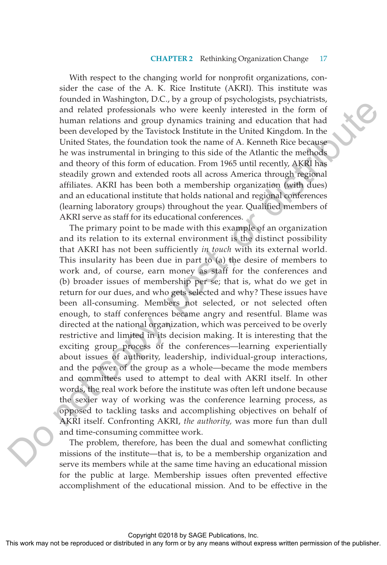#### **CHAPTER 2** Rethinking Organization Change 17

With respect to the changing world for nonprofit organizations, consider the case of the A. K. Rice Institute (AKRI). This institute was founded in Washington, D.C., by a group of psychologists, psychiatrists, and related professionals who were keenly interested in the form of human relations and group dynamics training and education that had been developed by the Tavistock Institute in the United Kingdom. In the United States, the foundation took the name of A. Kenneth Rice because he was instrumental in bringing to this side of the Atlantic the methods and theory of this form of education. From 1965 until recently, AKRI has steadily grown and extended roots all across America through regional affiliates. AKRI has been both a membership organization (with dues) and an educational institute that holds national and regional conferences (learning laboratory groups) throughout the year. Qualified members of AKRI serve as staff for its educational conferences.

The primary point to be made with this example of an organization and its relation to its external environment is the distinct possibility that AKRI has not been sufficiently *in touch* with its external world. This insularity has been due in part to (a) the desire of members to work and, of course, earn money as staff for the conferences and (b) broader issues of membership per se; that is, what do we get in return for our dues, and who gets selected and why? These issues have been all-consuming. Members not selected, or not selected often enough, to staff conferences became angry and resentful. Blame was directed at the national organization, which was perceived to be overly restrictive and limited in its decision making. It is interesting that the exciting group process of the conferences—learning experientially about issues of authority, leadership, individual-group interactions, and the power of the group as a whole—became the mode members and committees used to attempt to deal with AKRI itself. In other words, the real work before the institute was often left undone because the sexier way of working was the conference learning process, as opposed to tackling tasks and accomplishing objectives on behalf of AKRI itself. Confronting AKRI, *the authority,* was more fun than dull and time-consuming committee work. and relatively means to solve the reproduced in the form of the reproduced in any means when<br>the reproduced by the Tuckersk-Institute in the United Kingdom. In the<br>conduced or the publisher and points of the first system

The problem, therefore, has been the dual and somewhat conflicting missions of the institute—that is, to be a membership organization and serve its members while at the same time having an educational mission for the public at large. Membership issues often prevented effective accomplishment of the educational mission. And to be effective in the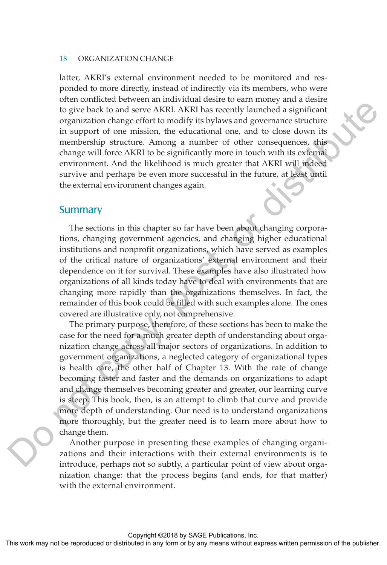latter, AKRI's external environment needed to be monitored and responded to more directly, instead of indirectly via its members, who were often conflicted between an individual desire to earn money and a desire to give back to and serve AKRI. AKRI has recently launched a significant organization change effort to modify its bylaws and governance structure in support of one mission, the educational one, and to close down its membership structure. Among a number of other consequences, this change will force AKRI to be significantly more in touch with its external environment. And the likelihood is much greater that AKRI will indeed survive and perhaps be even more successful in the future, at least until the external environment changes again.

#### **Summary**

The sections in this chapter so far have been about changing corporations, changing government agencies, and changing higher educational institutions and nonprofit organizations, which have served as examples of the critical nature of organizations' external environment and their dependence on it for survival. These examples have also illustrated how organizations of all kinds today have to deal with environments that are changing more rapidly than the organizations themselves. In fact, the remainder of this book could be filled with such examples alone. The ones covered are illustrative only, not comprehensive.

The primary purpose, therefore, of these sections has been to make the case for the need for a much greater depth of understanding about organization change across all major sectors of organizations. In addition to government organizations, a neglected category of organizational types is health care, the other half of Chapter 13. With the rate of change becoming faster and faster and the demands on organizations to adapt and change themselves becoming greater and greater, our learning curve is steep. This book, then, is an attempt to climb that curve and provide more depth of understanding. Our need is to understand organizations more thoroughly, but the greater need is to learn more about how to change them. to general or distributed or distributed in a significant may be reproduced in any form or distributed in any form or any form or by any form or any form or by any form or any form or any form or by any form or any form o

Another purpose in presenting these examples of changing organizations and their interactions with their external environments is to introduce, perhaps not so subtly, a particular point of view about organization change: that the process begins (and ends, for that matter) with the external environment.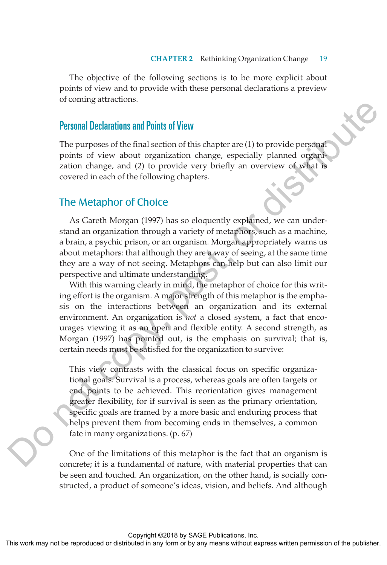The objective of the following sections is to be more explicit about points of view and to provide with these personal declarations a preview of coming attractions.

## Personal Declarations and Points of View

The purposes of the final section of this chapter are (1) to provide personal points of view about organization change, especially planned organization change, and (2) to provide very briefly an overview of what is covered in each of the following chapters.

#### The Metaphor of Choice

As Gareth Morgan (1997) has so eloquently explained, we can understand an organization through a variety of metaphors, such as a machine, a brain, a psychic prison, or an organism. Morgan appropriately warns us about metaphors: that although they are a way of seeing, at the same time they are a way of not seeing. Metaphors can help but can also limit our perspective and ultimate understanding.

With this warning clearly in mind, the metaphor of choice for this writing effort is the organism. A major strength of this metaphor is the emphasis on the interactions between an organization and its external environment. An organization is *not* a closed system, a fact that encourages viewing it as an open and flexible entity. A second strength, as Morgan (1997) has pointed out, is the emphasis on survival; that is, certain needs must be satisfied for the organization to survive: **Promotion and Points of View**<br> **The purposes or the final section of this chapter are (1) to provide personal**<br> **Zolution** any form or by any periodic versy beintly an overview of solution<br>
correst in each of the followi

This view contrasts with the classical focus on specific organizational goals. Survival is a process, whereas goals are often targets or end points to be achieved. This reorientation gives management greater flexibility, for if survival is seen as the primary orientation, specific goals are framed by a more basic and enduring process that helps prevent them from becoming ends in themselves, a common fate in many organizations. (p. 67)

One of the limitations of this metaphor is the fact that an organism is concrete; it is a fundamental of nature, with material properties that can be seen and touched. An organization, on the other hand, is socially constructed, a product of someone's ideas, vision, and beliefs. And although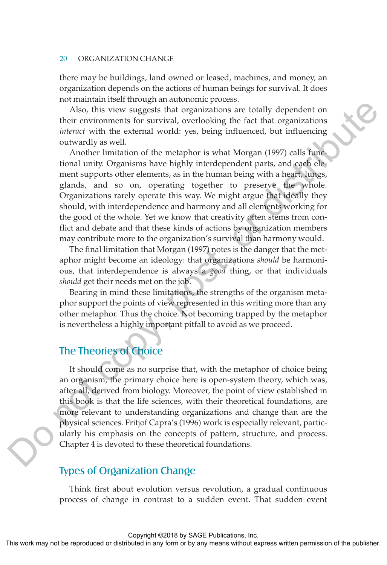there may be buildings, land owned or leased, machines, and money, an organization depends on the actions of human beings for survival. It does not maintain itself through an autonomic process.

Also, this view suggests that organizations are totally dependent on their environments for survival, overlooking the fact that organizations *interact* with the external world: yes, being influenced, but influencing outwardly as well.

Another limitation of the metaphor is what Morgan (1997) calls functional unity. Organisms have highly interdependent parts, and each element supports other elements, as in the human being with a heart, lungs, glands, and so on, operating together to preserve the whole. Organizations rarely operate this way. We might argue that ideally they should, with interdependence and harmony and all elements working for the good of the whole. Yet we know that creativity often stems from conflict and debate and that these kinds of actions by organization members may contribute more to the organization's survival than harmony would. The repression of the metaphor may not be reproduced to the publisher or the publisher or the reproduced virtual work means with the costration of the metaphor or the metaphor of the metaphor of the publisher. This work m

The final limitation that Morgan (1997) notes is the danger that the metaphor might become an ideology: that organizations *should* be harmonious, that interdependence is always a *good* thing, or that individuals *should* get their needs met on the job.

Bearing in mind these limitations, the strengths of the organism metaphor support the points of view represented in this writing more than any other metaphor. Thus the choice. Not becoming trapped by the metaphor is nevertheless a highly important pitfall to avoid as we proceed.

## The Theories of Choice

It should come as no surprise that, with the metaphor of choice being an organism, the primary choice here is open-system theory, which was, after all, derived from biology. Moreover, the point of view established in this book is that the life sciences, with their theoretical foundations, are more relevant to understanding organizations and change than are the physical sciences. Fritjof Capra's (1996) work is especially relevant, particularly his emphasis on the concepts of pattern, structure, and process. Chapter 4 is devoted to these theoretical foundations.

## Types of Organization Change

Think first about evolution versus revolution, a gradual continuous process of change in contrast to a sudden event. That sudden event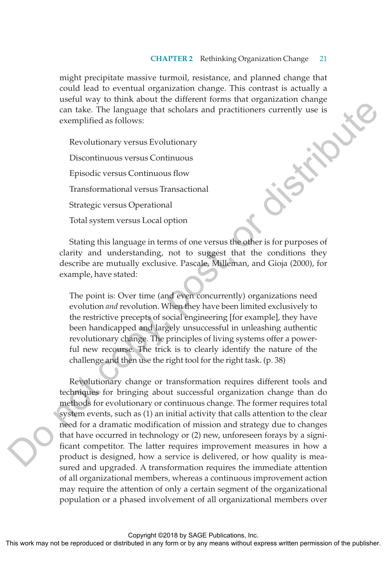#### **CHAPTER 2** Rethinking Organization Change 21

might precipitate massive turmoil, resistance, and planned change that could lead to eventual organization change. This contrast is actually a useful way to think about the different forms that organization change can take. The language that scholars and practitioners currently use is exemplified as follows:

Revolutionary versus Evolutionary Discontinuous versus Continuous Episodic versus Continuous flow Transformational versus Transactional Strategic versus Operational Total system versus Local option

Stating this language in terms of one versus the other is for purposes of clarity and understanding, not to suggest that the conditions they describe are mutually exclusive. Pascale, Milleman, and Gioja (2000), for example, have stated:

The point is: Over time (and even concurrently) organizations need evolution *and* revolution. When they have been limited exclusively to the restrictive precepts of social engineering [for example], they have been handicapped and largely unsuccessful in unleashing authentic revolutionary change. The principles of living systems offer a powerful new recourse. The trick is to clearly identify the nature of the challenge and then use the right tool for the right task. (p. 38)

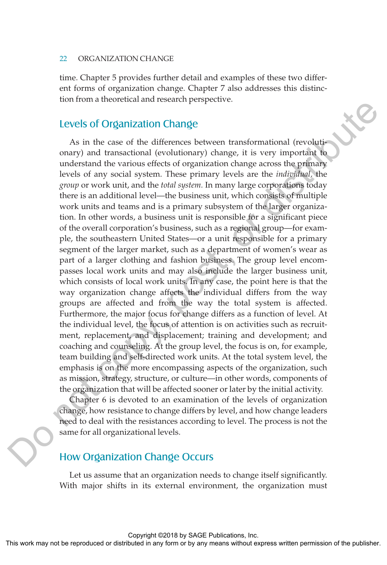time. Chapter 5 provides further detail and examples of these two different forms of organization change. Chapter 7 also addresses this distinction from a theoretical and research perspective.

## Levels of Organization Change

As in the case of the differences between transformational (revolutionary) and transactional (evolutionary) change, it is very important to understand the various effects of organization change across the primary levels of any social system. These primary levels are the *individual,* the *group* or work unit, and the *total system.* In many large corporations today there is an additional level—the business unit, which consists of multiple work units and teams and is a primary subsystem of the larger organization. In other words, a business unit is responsible for a significant piece of the overall corporation's business, such as a regional group—for example, the southeastern United States—or a unit responsible for a primary segment of the larger market, such as a department of women's wear as part of a larger clothing and fashion business. The group level encompasses local work units and may also include the larger business unit, which consists of local work units. In any case, the point here is that the way organization change affects the individual differs from the way groups are affected and from the way the total system is affected. Furthermore, the major focus for change differs as a function of level. At the individual level, the focus of attention is on activities such as recruitment, replacement, and displacement; training and development; and coaching and counseling. At the group level, the focus is on, for example, team building and self-directed work units. At the total system level, the emphasis is on the more encompassing aspects of the organization, such as mission, strategy, structure, or culture—in other words, components of the organization that will be affected sooner or later by the initial activity. The reproduced or distributed or distributed or distributed or distributed or distributed or distributed or distributed in any form or business with the publisher and the publisher. The primary here is a may hange componin

Chapter 6 is devoted to an examination of the levels of organization change, how resistance to change differs by level, and how change leaders need to deal with the resistances according to level. The process is not the same for all organizational levels.

## How Organization Change Occurs

Let us assume that an organization needs to change itself significantly. With major shifts in its external environment, the organization must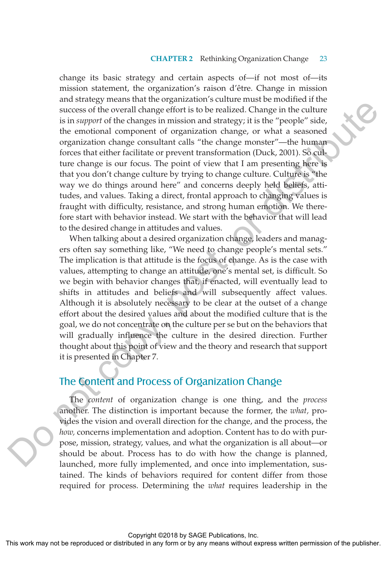#### **CHAPTER 2** Rethinking Organization Change 23

change its basic strategy and certain aspects of—if not most of—its mission statement, the organization's raison d'être. Change in mission and strategy means that the organization's culture must be modified if the success of the overall change effort is to be realized. Change in the culture is in *support* of the changes in mission and strategy; it is the "people" side, the emotional component of organization change, or what a seasoned organization change consultant calls "the change monster"—the human forces that either facilitate or prevent transformation (Duck, 2001). So culture change is our focus. The point of view that I am presenting here is that you don't change culture by trying to change culture. Culture is "the way we do things around here" and concerns deeply held beliefs, attitudes, and values. Taking a direct, frontal approach to changing values is fraught with difficulty, resistance, and strong human emotion. We therefore start with behavior instead. We start with the behavior that will lead to the desired change in attitudes and values. masses of the counterior or by an expression of the reproduced Changes in the conduced in any or the reproduced in any or by any means with the conduction of the publisher. This was not be reproduced to express the either

When talking about a desired organization change, leaders and managers often say something like, "We need to change people's mental sets." The implication is that attitude is the focus of change. As is the case with values, attempting to change an attitude, one's mental set, is difficult. So we begin with behavior changes that, if enacted, will eventually lead to shifts in attitudes and beliefs and will subsequently affect values. Although it is absolutely necessary to be clear at the outset of a change effort about the desired values and about the modified culture that is the goal, we do not concentrate on the culture per se but on the behaviors that will gradually influence the culture in the desired direction. Further thought about this point of view and the theory and research that support it is presented in Chapter 7.

## The Content and Process of Organization Change

The *content* of organization change is one thing, and the *process*  another. The distinction is important because the former, the *what,* provides the vision and overall direction for the change, and the process, the *how,* concerns implementation and adoption. Content has to do with purpose, mission, strategy, values, and what the organization is all about—or should be about. Process has to do with how the change is planned, launched, more fully implemented, and once into implementation, sustained. The kinds of behaviors required for content differ from those required for process. Determining the *what* requires leadership in the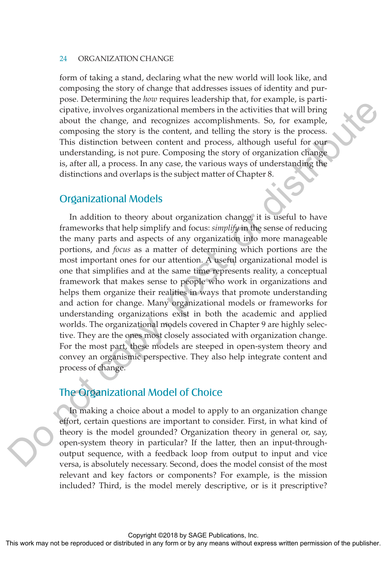form of taking a stand, declaring what the new world will look like, and composing the story of change that addresses issues of identity and purpose. Determining the *how* requires leadership that, for example, is participative, involves organizational members in the activities that will bring about the change, and recognizes accomplishments. So, for example, composing the story is the content, and telling the story is the process. This distinction between content and process, although useful for our understanding, is not pure. Composing the story of organization change is, after all, a process. In any case, the various ways of understanding the distinctions and overlaps is the subject matter of Chapter 8.

## Organizational Models

In addition to theory about organization change, it is useful to have frameworks that help simplify and focus: *simplify* in the sense of reducing the many parts and aspects of any organization into more manageable portions, and *focus* as a matter of determining which portions are the most important ones for our attention. A useful organizational model is one that simplifies and at the same time represents reality, a conceptual framework that makes sense to people who work in organizations and helps them organize their realities in ways that promote understanding and action for change. Many organizational models or frameworks for understanding organizations exist in both the academic and applied worlds. The organizational models covered in Chapter 9 are highly selective. They are the ones most closely associated with organization change. For the most part, these models are steeped in open-system theory and convey an organismic perspective. They also help integrate content and process of change. Finding the star may not be reproduced or distributed in the reproduced in an anti-<br>symparity is the control, and the reproduced in any means complete accomplements. So, for example, the symparities the star<br>produced in a

## The Organizational Model of Choice

In making a choice about a model to apply to an organization change effort, certain questions are important to consider. First, in what kind of theory is the model grounded? Organization theory in general or, say, open-system theory in particular? If the latter, then an input-throughoutput sequence, with a feedback loop from output to input and vice versa, is absolutely necessary. Second, does the model consist of the most relevant and key factors or components? For example, is the mission included? Third, is the model merely descriptive, or is it prescriptive?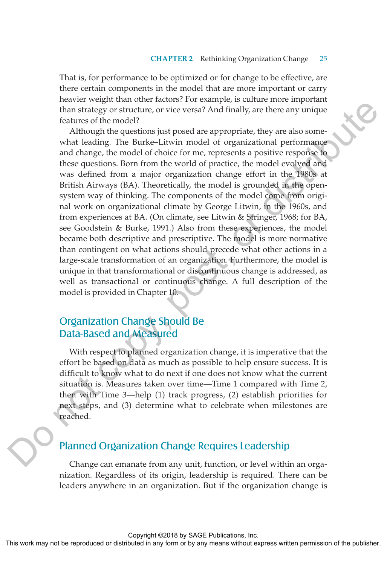That is, for performance to be optimized or for change to be effective, are there certain components in the model that are more important or carry heavier weight than other factors? For example, is culture more important than strategy or structure, or vice versa? And finally, are there any unique features of the model?

Although the questions just posed are appropriate, they are also somewhat leading. The Burke–Litwin model of organizational performance and change, the model of choice for me, represents a positive response to these questions. Born from the world of practice, the model evolved and was defined from a major organization change effort in the 1980s at British Airways (BA). Theoretically, the model is grounded in the opensystem way of thinking. The components of the model come from original work on organizational climate by George Litwin, in the 1960s, and from experiences at BA. (On climate, see Litwin & Stringer, 1968; for BA, see Goodstein & Burke, 1991.) Also from these experiences, the model became both descriptive and prescriptive. The model is more normative than contingent on what actions should precede what other actions in a large-scale transformation of an organization. Furthermore, the model is unique in that transformational or discontinuous change is addressed, as well as transactional or continuous change. A full description of the model is provided in Chapter 10. than stating reproduces may not be reproduced in any method in any means than the reproduced or distributed in any form or the reproduced in any form or the repression of the publisher. The publisher angle of the publishe

## Organization Change Should Be Data-Based and Measured

With respect to planned organization change, it is imperative that the effort be based on data as much as possible to help ensure success. It is difficult to know what to do next if one does not know what the current situation is. Measures taken over time—Time 1 compared with Time 2, then with Time 3—help (1) track progress, (2) establish priorities for next steps, and (3) determine what to celebrate when milestones are reached.

Planned Organization Change Requires Leadership

Change can emanate from any unit, function, or level within an organization. Regardless of its origin, leadership is required. There can be leaders anywhere in an organization. But if the organization change is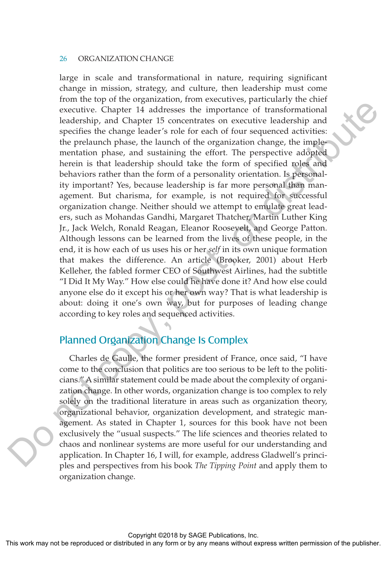large in scale and transformational in nature, requiring significant change in mission, strategy, and culture, then leadership must come from the top of the organization, from executives, particularly the chief executive. Chapter 14 addresses the importance of transformational leadership, and Chapter 15 concentrates on executive leadership and specifies the change leader's role for each of four sequenced activities: the prelaunch phase, the launch of the organization change, the implementation phase, and sustaining the effort. The perspective adopted herein is that leadership should take the form of specified roles and behaviors rather than the form of a personality orientation. Is personality important? Yes, because leadership is far more personal than management. But charisma, for example, is not required for successful organization change. Neither should we attempt to emulate great leaders, such as Mohandas Gandhi, Margaret Thatcher, Martin Luther King Jr., Jack Welch, Ronald Reagan, Eleanor Roosevelt, and George Patton. Although lessons can be learned from the lives of these people, in the end, it is how each of us uses his or her *self* in its own unique formation that makes the difference. An article (Brooker, 2001) about Herb Kelleher, the fabled former CEO of Southwest Airlines, had the subtitle "I Did It My Way." How else could he have done it? And how else could anyone else do it except his or her own way? That is what leadership is about: doing it one's own way, but for purposes of leading change according to key roles and sequenced activities. reproduced Chiefter 14 and the reproduced or the information of the micromatical or the reproduced in any form or by any form or by any form or by any form or by any form or by any form or by any form or by any form or by

## Planned Organization Change Is Complex

Charles de Gaulle, the former president of France, once said, "I have come to the conclusion that politics are too serious to be left to the politicians." A similar statement could be made about the complexity of organization change. In other words, organization change is too complex to rely solely on the traditional literature in areas such as organization theory, organizational behavior, organization development, and strategic management. As stated in Chapter 1, sources for this book have not been exclusively the "usual suspects." The life sciences and theories related to chaos and nonlinear systems are more useful for our understanding and application. In Chapter 16, I will, for example, address Gladwell's principles and perspectives from his book *The Tipping Point* and apply them to organization change.